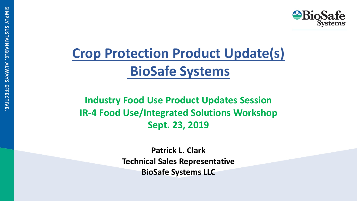

# **Crop Protection Product Update(s) BioSafe Systems**

**Industry Food Use Product Updates Session IR-4 Food Use/Integrated Solutions Workshop Sept. 23, 2019**

> **Patrick L. Clark Technical Sales Representative BioSafe Systems LLC**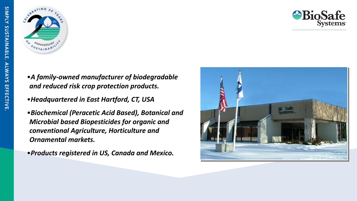



- •*A family-owned manufacturer of biodegradable and reduced risk crop protection products.*
- •*Headquartered in East Hartford, CT, USA*
- •*Biochemical (Peracetic Acid Based), Botanical and Microbial based Biopesticides for organic and conventional Agriculture, Horticulture and Ornamental markets.*
- •*Products registered in US, Canada and Mexico.*

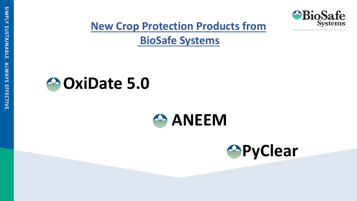

**New Crop Protection Products from**

**BioSafe Systems**

# **OxiDate 5.0**



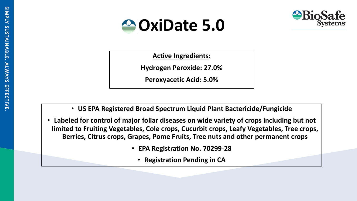



**Add text 1 Addissimal** 

**Active Ingredients:** 

**Hydrogen Peroxide: 27.0%**

**Add text 1 Peroxyacetic Acid: 5.0%**

**Add text 2**

**Add text 1 Add text 2**

- **US EPA Registered Broad Spectrum Liquid Plant Bactericide/Fungicide**
- **Labeled for control of major foliar diseases on wide variety of crops including but not limited to Fruiting Vegetables, Cole crops, Cucurbit crops, Leafy Vegetables, Tree crops, Berries, Citrus crops, Grapes, Pome Fruits, Tree nuts and other permanent crops**
	- **EPA Registration No. 70299-28**
		- **Registration Pending in CA**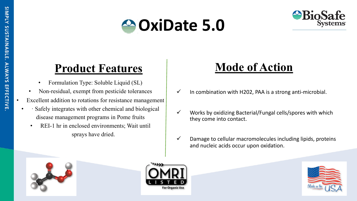



# **Product Features Mode of Action**

- Formulation Type: Soluble Liquid (SL)
- Non-residual, exempt from pesticide tolerances
- Excellent addition to rotations for resistance management
- Safely integrates with other chemical and biological disease management programs in Pome fruits
- REI-1 hr in enclosed environments; Wait until sprays have dried.

- $\checkmark$  In combination with H202, PAA is a strong anti-microbial.
- ü Works by oxidizing Bacterial/Fungal cells/spores with which they come into contact.
- $\checkmark$  Damage to cellular macromolecules including lipids, proteins and nucleic acids occur upon oxidation.





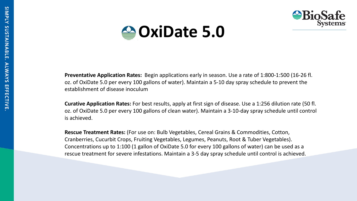



**Preventative Application Rates:** Begin applications early in season. Use a rate of 1:800-1:500 (16-26 fl. oz. of OxiDate 5.0 per every 100 gallons of water). Maintain a 5-10 day spray schedule to prevent the establishment of disease inoculum

**Curative Application Rates:** For best results, apply at first sign of disease. Use a 1:256 dilution rate (50 fl. oz. of OxiDate 5.0 per every 100 gallons of clean water). Maintain a 3-10-day spray schedule until control is achieved.

**Rescue Treatment Rates:** (For use on: Bulb Vegetables, Cereal Grains & Commodities, Cotton, Cranberries, Cucurbit Crops, Fruiting Vegetables, Legumes, Peanuts, Root & Tuber Vegetables). Concentrations up to 1:100 (1 gallon of OxiDate 5.0 for every 100 gallons of water) can be used as a rescue treatment for severe infestations. Maintain a 3-5 day spray schedule until control is achieved.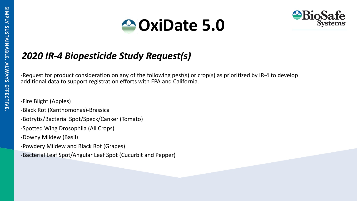

# *2020 IR-4 Biopesticide Study Request(s)*

-Request for product consideration on any of the following pest(s) or crop(s) as prioritized by IR-4 to develop additional data to support registration efforts with EPA and California.

- -Fire Blight (Apples)
- -Black Rot (Xanthomonas)-Brassica
- -Botrytis/Bacterial Spot/Speck/Canker (Tomato)
- -Spotted Wing Drosophila (All Crops)
- -Downy Mildew (Basil)
- -Powdery Mildew and Black Rot (Grapes)
- -Bacterial Leaf Spot/Angular Leaf Spot (Cucurbit and Pepper)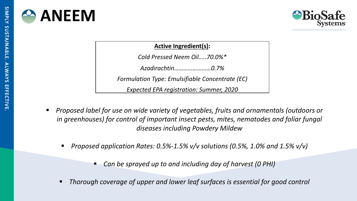



### **Active Ingredient(s):**

*Cold Pressed Neem Oil…..70.0%\**

*Azadirachtin……………………0.7%*

*Formulation Type: Emulsifiable Concentrate (EC)*

*Expected EPA registration: Summer, 2020*

- § *Proposed label for use on wide variety of vegetables, fruits and ornamentals (outdoors or in greenhouses) for control of important insect pests, mites, nematodes and foliar fungal diseases including Powdery Mildew*
	- § *Proposed application Rates: 0.5%-1.5% v/v solutions (0.5%, 1.0% and 1.5% v/v)* 
		- § *Can be sprayed up to and including day of harvest (0 PHI)*
	- § *Thorough coverage of upper and lower leaf surfaces is essential for good control*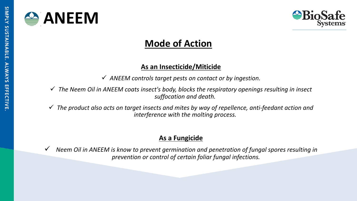



# **Mode of Action**

### **As an Insecticide/Miticide**

ü *ANEEM controls target pests on contact or by ingestion.* 

ü *The Neem Oil in ANEEM coats insect's body, blocks the respiratory openings resulting in insect suffocation and death.*

ü *The product also acts on target insects and mites by way of repellence, anti-feedant action and interference with the molting process.* 

### **As a Fungicide**

ü *Neem Oil in ANEEM is know to prevent germination and penetration of fungal spores resulting in prevention or control of certain foliar fungal infections.*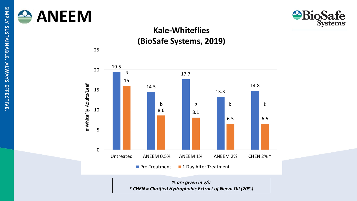

25



# **Kale-Whiteflies**





*% are given in v/v \* CHEN = Clarified Hydrophobic Extract of Neem Oil (70%)*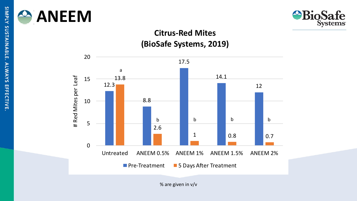



### **Citrus-Red Mites (BioSafe Systems, 2019)**



% are given in v/v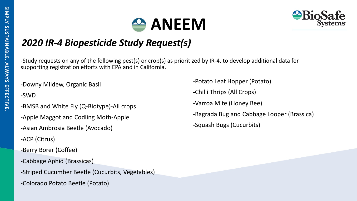



# *2020 IR-4 Biopesticide Study Request(s)*

-Study requests on any of the following pest(s) or crop(s) as prioritized by IR-4, to develop additional data for supporting registration efforts with EPA and in California.

-Downy Mildew, Organic Basil

-SWD

- -BMSB and White Fly (Q-Biotype)-All crops
- -Apple Maggot and Codling Moth-Apple
- -Asian Ambrosia Beetle (Avocado)
- -ACP (Citrus)
- -Berry Borer (Coffee)
- -Cabbage Aphid (Brassicas)
- -Striped Cucumber Beetle (Cucurbits, Vegetables)
- -Colorado Potato Beetle (Potato)

-Potato Leaf Hopper (Potato) -Chilli Thrips (All Crops) -Varroa Mite (Honey Bee) -Bagrada Bug and Cabbage Looper (Brassica) -Squash Bugs (Cucurbits)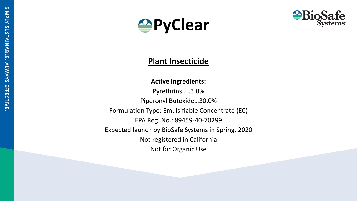



### **Plant Insecticide**

### **Active Ingredients:**

Pyrethrins…..3.0% Piperonyl Butoxide…30.0% Formulation Type: Emulsifiable Concentrate (EC) EPA Reg. No.: 89459-40-70299 Expected launch by BioSafe Systems in Spring, 2020 Not registered in California Not for Organic Use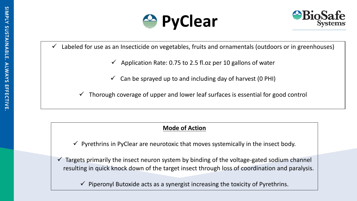



Labeled for use as an Insecticide on vegetables, fruits and ornamentals (outdoors or in greenhouses)

- ü Application Rate: 0.75 to 2.5 fl.oz per 10 gallons of water
- $\checkmark$  Can be sprayed up to and including day of harvest (0 PHI)

ü Thorough coverage of upper and lower leaf surfaces is essential for good control

### **Mode of Action**

- $\checkmark$  Pyrethrins in PyClear are neurotoxic that moves systemically in the insect body.
- $\checkmark$  Targets primarily the insect neuron system by binding of the voltage-gated sodium channel resulting in quick knock down of the target insect through loss of coordination and paralysis.

 $\checkmark$  Piperonyl Butoxide acts as a synergist increasing the toxicity of Pyrethrins.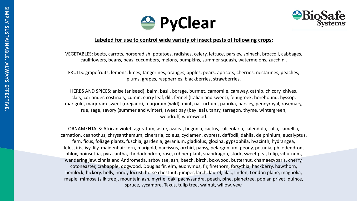



#### **Labeled for use to control wide variety of insect pests of following crops:**

VEGETABLES: beets, carrots, horseradish, potatoes, radishes, celery, lettuce, parsley, spinach, broccoli, cabbages, cauliflowers, beans, peas, cucumbers, melons, pumpkins, summer squash, watermelons, zucchini.

FRUITS: grapefruits, lemons, limes, tangerines, oranges, apples, pears, apricots, cherries, nectarines, peaches, plums, grapes, raspberries, blackberries, strawberries.

HERBS AND SPICES: anise (aniseed), balm, basil, borage, burmet, camomile, caraway, catnip, chicory, chives, clary, coriander, costmary, cumin, curry leaf, dill, fennel (Italian and sweet), fenugreek, horehound, hyssop, marigold, marjoram-sweet (oregano), marjoram (wild), mint, nasturtium, paprika, parsley, pennyroyal, rosemary, rue, sage, savory (summer and winter), sweet bay (bay leaf), tansy, tarragon, thyme, wintergreen, woodruff, wormwood.

ORNAMENTALS: African violet, ageratum, aster, azalea, begonia, cactus, calceolaria, calendula, calla, camellia, carnation, ceanothus, chrysanthemum, cineraria, coleus, cyclamen, cypress, daffodil, dahlia, delphinium, eucalyptus, fern, ficus, foliage plants, fuschia, gardenia, geranium, gladiolus, gloxina, gypsophila, hyacinth, hydrangea, feles, iris, ivy, lily, maidenhair fern, marigold, narcissus, orchid, pansy, pelargonium, peony, petunia, philodendron, phlox, poinsettia, pyracantha, rhododendron, rose, rubber plant, snapdragon, stock, sweet pea, tulip, viburnum, wandering jew, zinnia and Andromeda, arbovitae, ash, beech, birch, boxwood, butternut, chamaecyparis, cherry, cotoneaster, crabapple, dogwood, Douglas fir, elm, euonymus, fir, firethorn, forsythia, hackberry, hawthorn, hemlock, hickory, holly, honey locust, horse chestnut, juniper, larch, laurel, lilac, linden, London plane, magnolia, maple, mimosa (silk tree), mountain ash, myrtle, oak, pachysandra, peach, pine, planetree, poplar, privet, quince, spruce, sycamore, Taxus, tulip tree, walnut, willow, yew.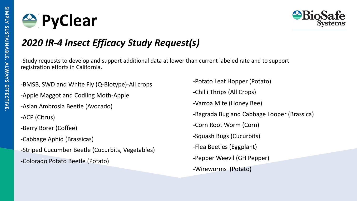



## *2020 IR-4 Insect Efficacy Study Request(s)*

-Study requests to develop and support additional data at lower than current labeled rate and to support registration efforts in California.

- -BMSB, SWD and White Fly (Q-Biotype)-All crops
- -Apple Maggot and Codling Moth-Apple
- -Asian Ambrosia Beetle (Avocado)
- -ACP (Citrus)
- -Berry Borer (Coffee)
- -Cabbage Aphid (Brassicas)
- -Striped Cucumber Beetle (Cucurbits, Vegetables)
- -Colorado Potato Beetle (Potato)

-Potato Leaf Hopper (Potato) -Chilli Thrips (All Crops) -Varroa Mite (Honey Bee) -Bagrada Bug and Cabbage Looper (Brassica) -Corn Root Worm (Corn) -Squash Bugs (Cucurbits) -Flea Beetles (Eggplant) -Pepper Weevil (GH Pepper) -Wireworms (Potato)